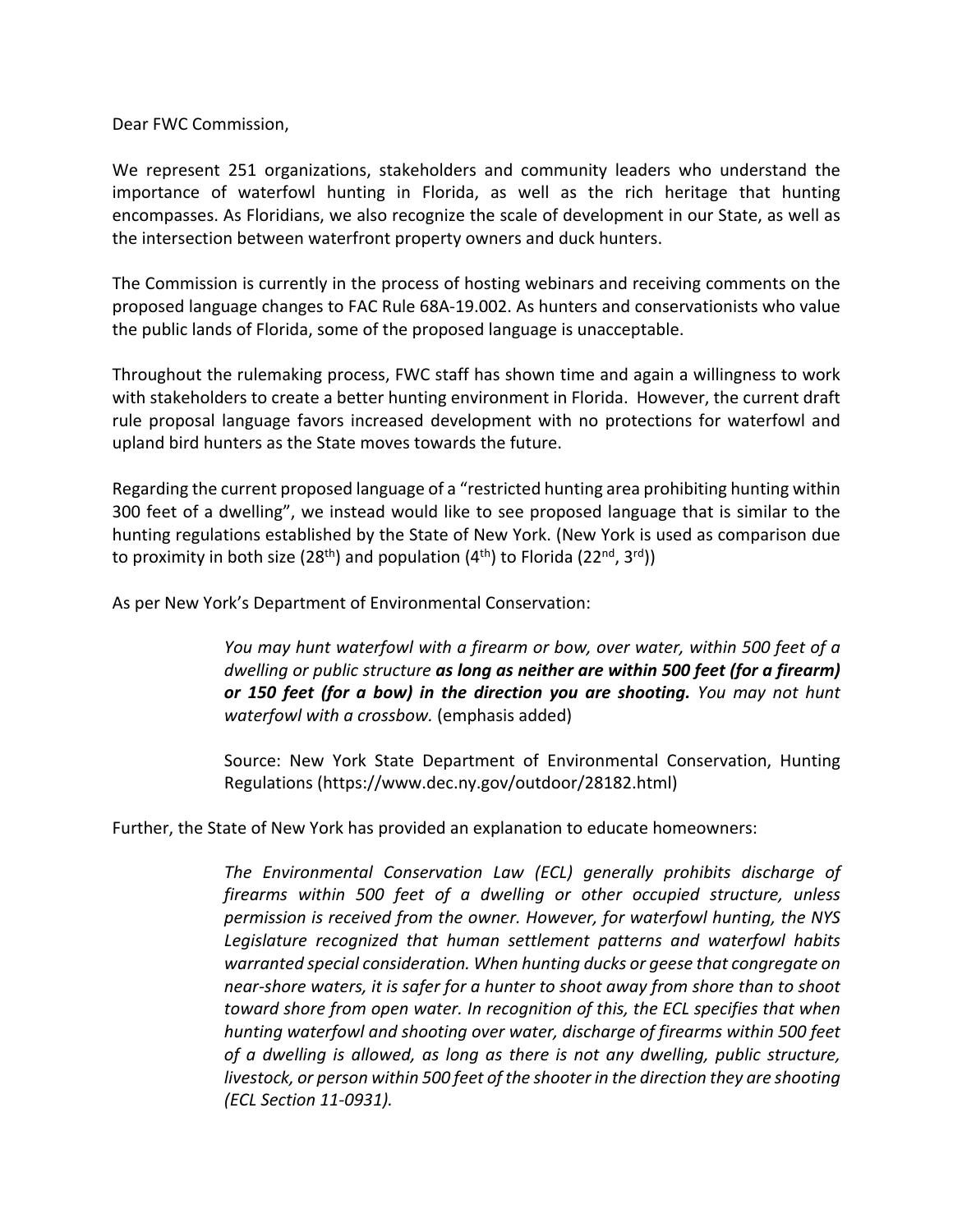Dear FWC Commission,

We represent 251 organizations, stakeholders and community leaders who understand the importance of waterfowl hunting in Florida, as well as the rich heritage that hunting encompasses. As Floridians, we also recognize the scale of development in our State, as well as the intersection between waterfront property owners and duck hunters.

The Commission is currently in the process of hosting webinars and receiving comments on the proposed language changes to FAC Rule 68A-19.002. As hunters and conservationists who value the public lands of Florida, some of the proposed language is unacceptable.

Throughout the rulemaking process, FWC staff has shown time and again a willingness to work with stakeholders to create a better hunting environment in Florida. However, the current draft rule proposal language favors increased development with no protections for waterfowl and upland bird hunters as the State moves towards the future.

Regarding the current proposed language of a "restricted hunting area prohibiting hunting within 300 feet of a dwelling", we instead would like to see proposed language that is similar to the hunting regulations established by the State of New York. (New York is used as comparison due to proximity in both size (28<sup>th</sup>) and population (4<sup>th</sup>) to Florida (22<sup>nd</sup>, 3<sup>rd</sup>))

As per New York's Department of Environmental Conservation:

*You may hunt waterfowl with a firearm or bow, over water, within 500 feet of a dwelling or public structure as long as neither are within 500 feet (for a firearm) or 150 feet (for a bow) in the direction you are shooting. You may not hunt waterfowl with a crossbow.* (emphasis added)

Source: New York State Department of Environmental Conservation, Hunting Regulations (https://www.dec.ny.gov/outdoor/28182.html)

Further, the State of New York has provided an explanation to educate homeowners:

*The Environmental Conservation Law (ECL) generally prohibits discharge of firearms within 500 feet of a dwelling or other occupied structure, unless permission is received from the owner. However, for waterfowl hunting, the NYS Legislature recognized that human settlement patterns and waterfowl habits warranted special consideration. When hunting ducks or geese that congregate on near-shore waters, it is safer for a hunter to shoot away from shore than to shoot toward shore from open water. In recognition of this, the ECL specifies that when hunting waterfowl and shooting over water, discharge of firearms within 500 feet of a dwelling is allowed, as long as there is not any dwelling, public structure, livestock, or person within 500 feet of the shooter in the direction they are shooting (ECL Section 11-0931).*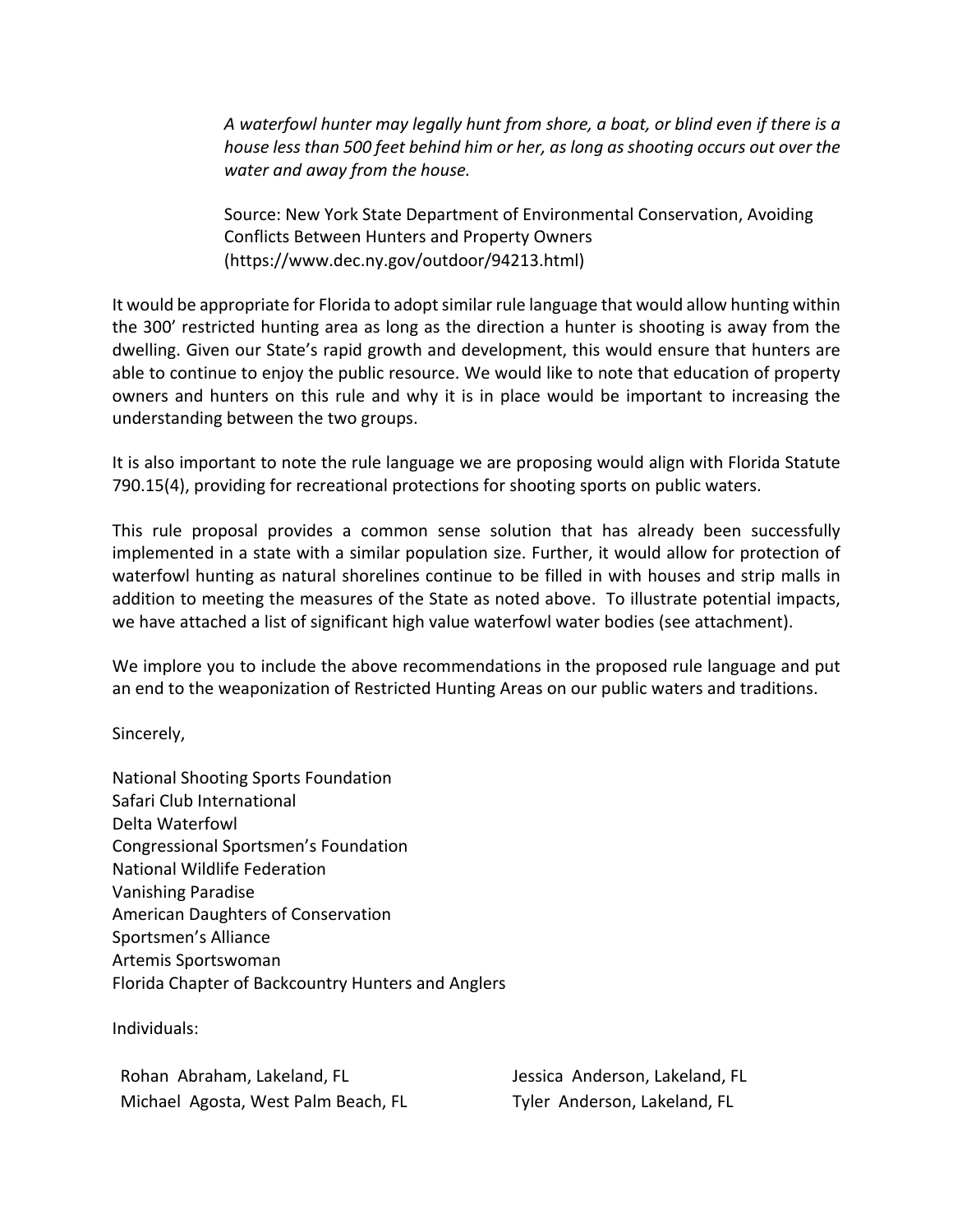*A waterfowl hunter may legally hunt from shore, a boat, or blind even if there is a house less than 500 feet behind him or her, as long as shooting occurs out over the water and away from the house.*

Source: New York State Department of Environmental Conservation, Avoiding Conflicts Between Hunters and Property Owners (https://www.dec.ny.gov/outdoor/94213.html)

It would be appropriate for Florida to adopt similar rule language that would allow hunting within the 300' restricted hunting area as long as the direction a hunter is shooting is away from the dwelling. Given our State's rapid growth and development, this would ensure that hunters are able to continue to enjoy the public resource. We would like to note that education of property owners and hunters on this rule and why it is in place would be important to increasing the understanding between the two groups.

It is also important to note the rule language we are proposing would align with Florida Statute 790.15(4), providing for recreational protections for shooting sports on public waters.

This rule proposal provides a common sense solution that has already been successfully implemented in a state with a similar population size. Further, it would allow for protection of waterfowl hunting as natural shorelines continue to be filled in with houses and strip malls in addition to meeting the measures of the State as noted above. To illustrate potential impacts, we have attached a list of significant high value waterfowl water bodies (see attachment).

We implore you to include the above recommendations in the proposed rule language and put an end to the weaponization of Restricted Hunting Areas on our public waters and traditions.

Sincerely,

National Shooting Sports Foundation Safari Club International Delta Waterfowl Congressional Sportsmen's Foundation National Wildlife Federation Vanishing Paradise American Daughters of Conservation Sportsmen's Alliance Artemis Sportswoman Florida Chapter of Backcountry Hunters and Anglers

Individuals:

Rohan Abraham, Lakeland, FL Michael Agosta, West Palm Beach, FL

Jessica Anderson, Lakeland, FL Tyler Anderson, Lakeland, FL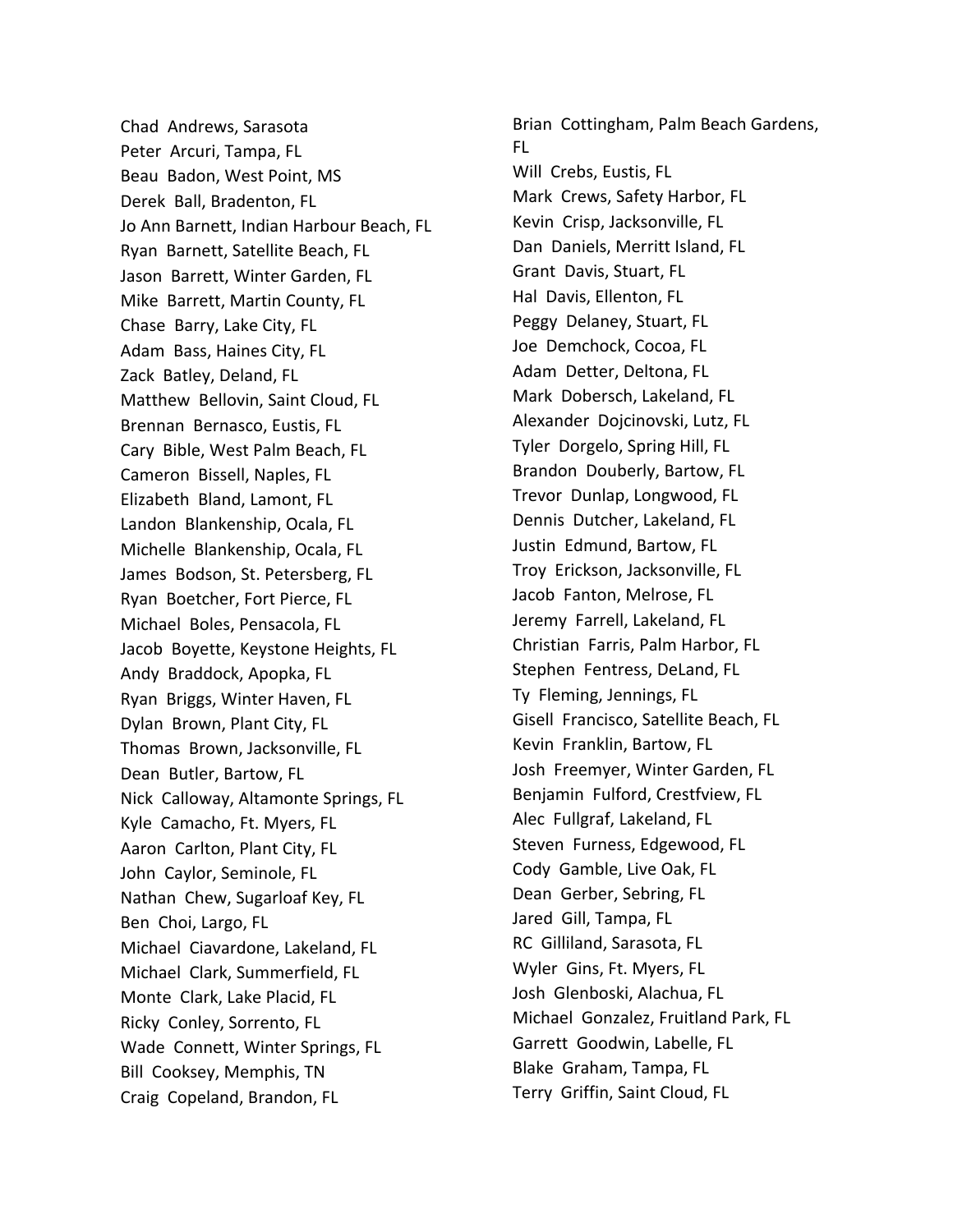Chad Andrews, Sarasota Peter Arcuri, Tampa, FL Beau Badon, West Point, MS Derek Ball, Bradenton, FL Jo Ann Barnett, Indian Harbour Beach, FL Ryan Barnett, Satellite Beach, FL Jason Barrett, Winter Garden, FL Mike Barrett, Martin County, FL Chase Barry, Lake City, FL Adam Bass, Haines City, FL Zack Batley, Deland, FL Matthew Bellovin, Saint Cloud, FL Brennan Bernasco, Eustis, FL Cary Bible, West Palm Beach, FL Cameron Bissell, Naples, FL Elizabeth Bland, Lamont, FL Landon Blankenship, Ocala, FL Michelle Blankenship, Ocala, FL James Bodson, St. Petersberg, FL Ryan Boetcher, Fort Pierce, FL Michael Boles, Pensacola, FL Jacob Boyette, Keystone Heights, FL Andy Braddock, Apopka, FL Ryan Briggs, Winter Haven, FL Dylan Brown, Plant City, FL Thomas Brown, Jacksonville, FL Dean Butler, Bartow, FL Nick Calloway, Altamonte Springs, FL Kyle Camacho, Ft. Myers, FL Aaron Carlton, Plant City, FL John Caylor, Seminole, FL Nathan Chew, Sugarloaf Key, FL Ben Choi, Largo, FL Michael Ciavardone, Lakeland, FL Michael Clark, Summerfield, FL Monte Clark, Lake Placid, FL Ricky Conley, Sorrento, FL Wade Connett, Winter Springs, FL Bill Cooksey, Memphis, TN Craig Copeland, Brandon, FL

Brian Cottingham, Palm Beach Gardens, FL Will Crebs, Eustis, FL Mark Crews, Safety Harbor, FL Kevin Crisp, Jacksonville, FL Dan Daniels, Merritt Island, FL Grant Davis, Stuart, FL Hal Davis, Ellenton, FL Peggy Delaney, Stuart, FL Joe Demchock, Cocoa, FL Adam Detter, Deltona, FL Mark Dobersch, Lakeland, FL Alexander Dojcinovski, Lutz, FL Tyler Dorgelo, Spring Hill, FL Brandon Douberly, Bartow, FL Trevor Dunlap, Longwood, FL Dennis Dutcher, Lakeland, FL Justin Edmund, Bartow, FL Troy Erickson, Jacksonville, FL Jacob Fanton, Melrose, FL Jeremy Farrell, Lakeland, FL Christian Farris, Palm Harbor, FL Stephen Fentress, DeLand, FL Ty Fleming, Jennings, FL Gisell Francisco, Satellite Beach, FL Kevin Franklin, Bartow, FL Josh Freemyer, Winter Garden, FL Benjamin Fulford, Crestfview, FL Alec Fullgraf, Lakeland, FL Steven Furness, Edgewood, FL Cody Gamble, Live Oak, FL Dean Gerber, Sebring, FL Jared Gill, Tampa, FL RC Gilliland, Sarasota, FL Wyler Gins, Ft. Myers, FL Josh Glenboski, Alachua, FL Michael Gonzalez, Fruitland Park, FL Garrett Goodwin, Labelle, FL Blake Graham, Tampa, FL Terry Griffin, Saint Cloud, FL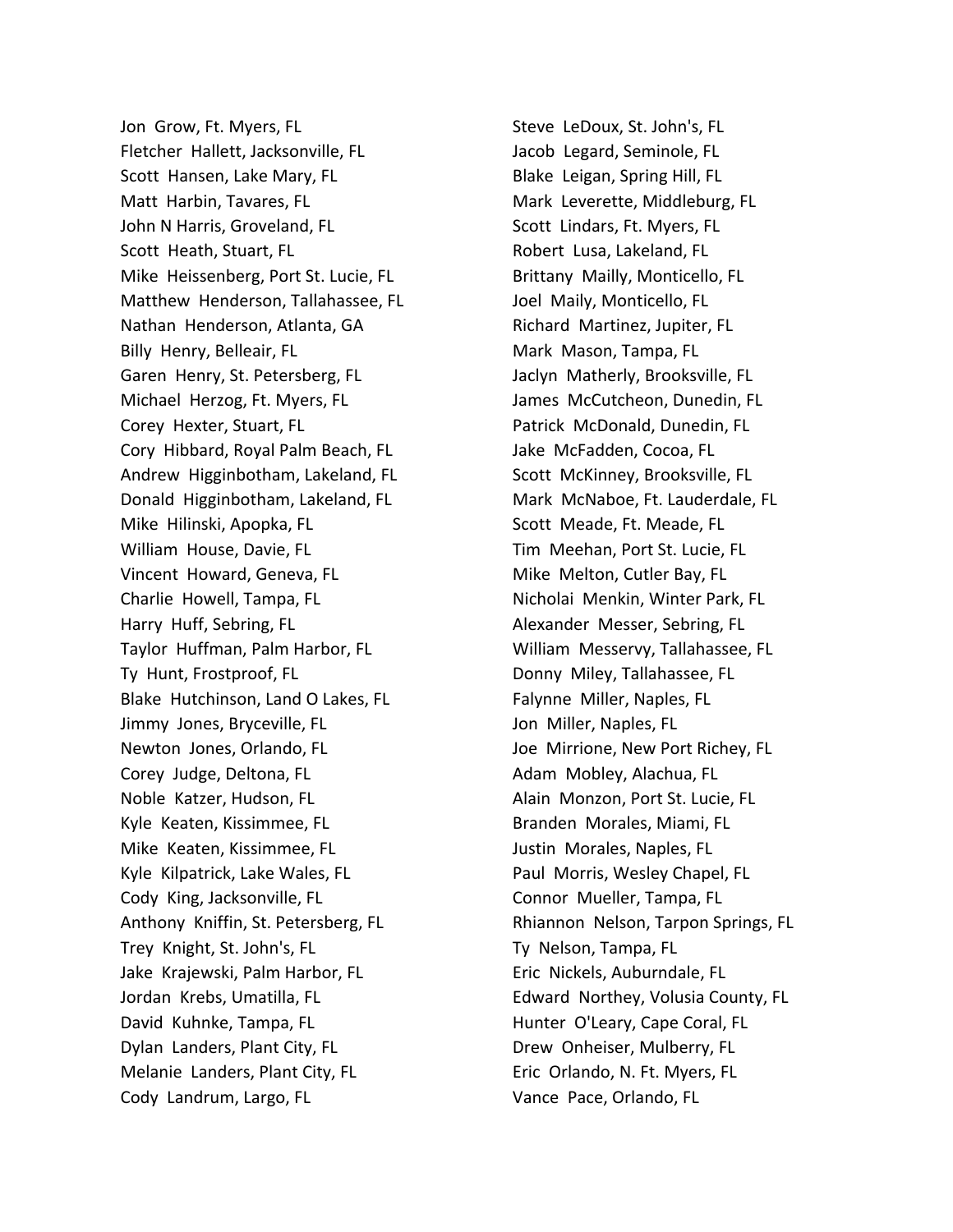Jon Grow, Ft. Myers, FL Fletcher Hallett, Jacksonville, FL Scott Hansen, Lake Mary, FL Matt Harbin, Tavares, FL John N Harris, Groveland, FL Scott Heath, Stuart, FL Mike Heissenberg, Port St. Lucie, FL Matthew Henderson, Tallahassee, FL Nathan Henderson, Atlanta, GA Billy Henry, Belleair, FL Garen Henry, St. Petersberg, FL Michael Herzog, Ft. Myers, FL Corey Hexter, Stuart, FL Cory Hibbard, Royal Palm Beach, FL Andrew Higginbotham, Lakeland, FL Donald Higginbotham, Lakeland, FL Mike Hilinski, Apopka, FL William House, Davie, FL Vincent Howard, Geneva, FL Charlie Howell, Tampa, FL Harry Huff, Sebring, FL Taylor Huffman, Palm Harbor, FL Ty Hunt, Frostproof, FL Blake Hutchinson, Land O Lakes, FL Jimmy Jones, Bryceville, FL Newton Jones, Orlando, FL Corey Judge, Deltona, FL Noble Katzer, Hudson, FL Kyle Keaten, Kissimmee, FL Mike Keaten, Kissimmee, FL Kyle Kilpatrick, Lake Wales, FL Cody King, Jacksonville, FL Anthony Kniffin, St. Petersberg, FL Trey Knight, St. John's, FL Jake Krajewski, Palm Harbor, FL Jordan Krebs, Umatilla, FL David Kuhnke, Tampa, FL Dylan Landers, Plant City, FL Melanie Landers, Plant City, FL Cody Landrum, Largo, FL

Steve LeDoux, St. John's, FL Jacob Legard, Seminole, FL Blake Leigan, Spring Hill, FL Mark Leverette, Middleburg, FL Scott Lindars, Ft. Myers, FL Robert Lusa, Lakeland, FL Brittany Mailly, Monticello, FL Joel Maily, Monticello, FL Richard Martinez, Jupiter, FL Mark Mason, Tampa, FL Jaclyn Matherly, Brooksville, FL James McCutcheon, Dunedin, FL Patrick McDonald, Dunedin, FL Jake McFadden, Cocoa, FL Scott McKinney, Brooksville, FL Mark McNaboe, Ft. Lauderdale, FL Scott Meade, Ft. Meade, FL Tim Meehan, Port St. Lucie, FL Mike Melton, Cutler Bay, FL Nicholai Menkin, Winter Park, FL Alexander Messer, Sebring, FL William Messervy, Tallahassee, FL Donny Miley, Tallahassee, FL Falynne Miller, Naples, FL Jon Miller, Naples, FL Joe Mirrione, New Port Richey, FL Adam Mobley, Alachua, FL Alain Monzon, Port St. Lucie, FL Branden Morales, Miami, FL Justin Morales, Naples, FL Paul Morris, Wesley Chapel, FL Connor Mueller, Tampa, FL Rhiannon Nelson, Tarpon Springs, FL Ty Nelson, Tampa, FL Eric Nickels, Auburndale, FL Edward Northey, Volusia County, FL Hunter O'Leary, Cape Coral, FL Drew Onheiser, Mulberry, FL Eric Orlando, N. Ft. Myers, FL Vance Pace, Orlando, FL